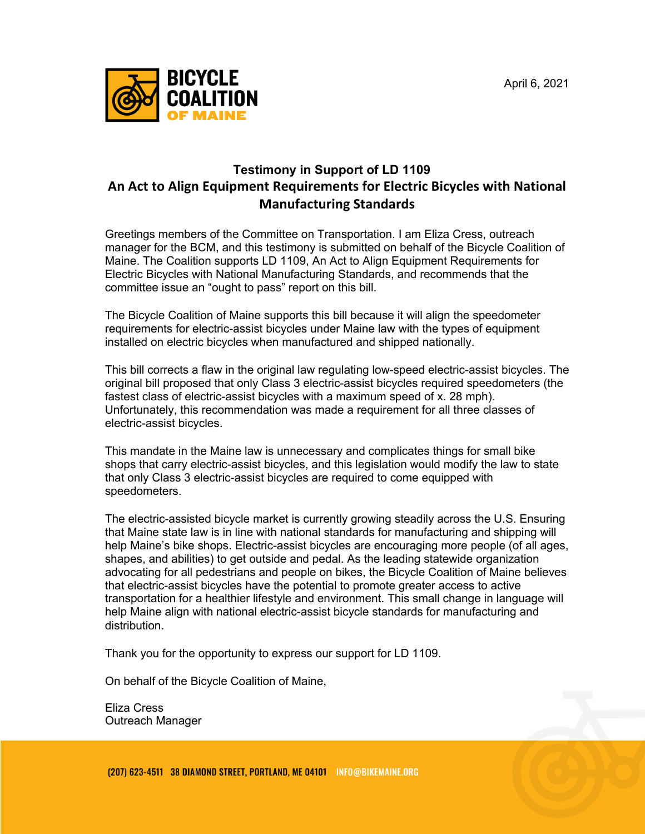April 6, 2021



## **Testimony in Support of LD 1109 An Act to Align Equipment Requirements for Electric Bicycles with National Manufacturing Standards**

Greetings members of the Committee on Transportation. I am Eliza Cress, outreach manager for the BCM, and this testimony is submitted on behalf of the Bicycle Coalition of Maine. The Coalition supports LD 1109, An Act to Align Equipment Requirements for Electric Bicycles with National Manufacturing Standards, and recommends that the committee issue an "ought to pass" report on this bill.

The Bicycle Coalition of Maine supports this bill because it will align the speedometer requirements for electric-assist bicycles under Maine law with the types of equipment installed on electric bicycles when manufactured and shipped nationally.

This bill corrects a flaw in the original law regulating low-speed electric-assist bicycles. The original bill proposed that only Class 3 electric-assist bicycles required speedometers (the fastest class of electric-assist bicycles with a maximum speed of x. 28 mph). Unfortunately, this recommendation was made a requirement for all three classes of electric-assist bicycles.

This mandate in the Maine law is unnecessary and complicates things for small bike shops that carry electric-assist bicycles, and this legislation would modify the law to state that only Class 3 electric-assist bicycles are required to come equipped with speedometers.

The electric-assisted bicycle market is currently growing steadily across the U.S. Ensuring that Maine state law is in line with national standards for manufacturing and shipping will help Maine's bike shops. Electric-assist bicycles are encouraging more people (of all ages, shapes, and abilities) to get outside and pedal. As the leading statewide organization advocating for all pedestrians and people on bikes, the Bicycle Coalition of Maine believes that electric-assist bicycles have the potential to promote greater access to active transportation for a healthier lifestyle and environment. This small change in language will help Maine align with national electric-assist bicycle standards for manufacturing and distribution.

Thank you for the opportunity to express our support for LD 1109.

On behalf of the Bicycle Coalition of Maine,

Eliza Cress Outreach Manager